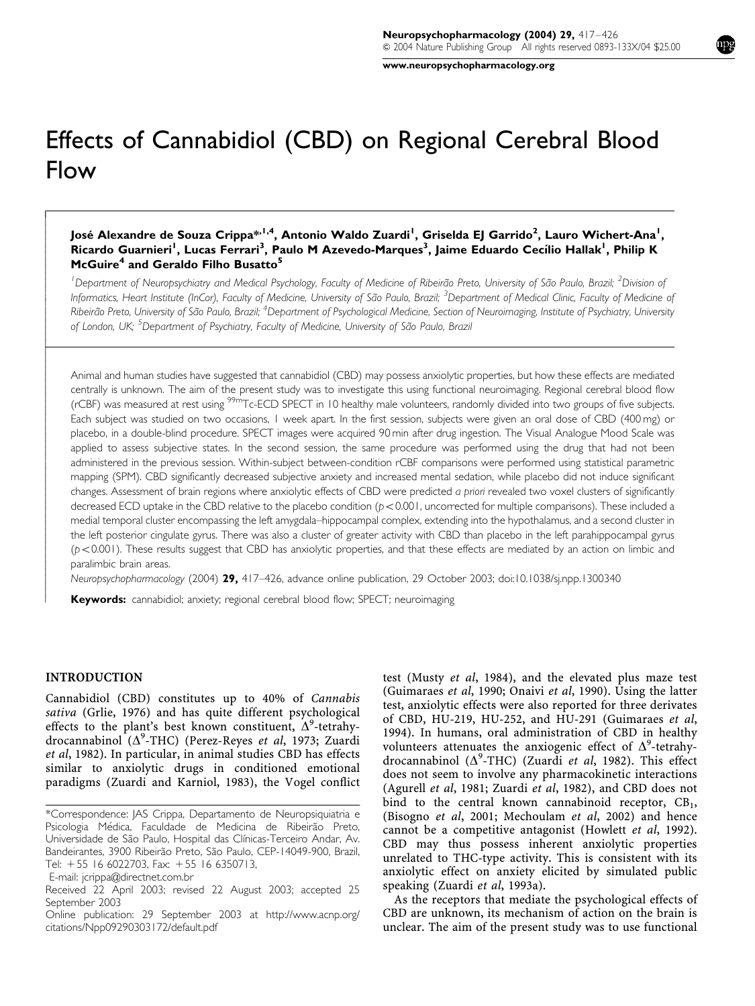www.neuropsychopharmacology.org

# Effects of Cannabidiol (CBD) on Regional Cerebral Blood Flow

#### José Alexandre de Souza Crippa $^{\ast,1,4}$ , Antonio Waldo Zuardi<sup>l</sup>, Griselda EJ Garrido<sup>2</sup>, Lauro Wichert-Ana<sup>l</sup>, Ricardo Guarnieri<sup>l</sup>, Lucas Ferrari<sup>3</sup>, Paulo M Azevedo-Marques<sup>3</sup>, Jaime Eduardo Cecílio Hallak<sup>1</sup>, Philip K McGuire<sup>4</sup> and Geraldo Filho Busatto<sup>5</sup>

<sup>1</sup>Department of Neuropsychiatry and Medical Psychology, Faculty of Medicine of Ribeirão Preto, University of São Paulo, Brazil; <sup>2</sup>Division of Informatics, Heart Institute (InCor), Faculty of Medicine, University of São Paulo, Brazil; <sup>3</sup>Department of Medical Clinic, Faculty of Medicine of Ribeirão Preto, University of São Paulo, Brazil; <sup>4</sup>Department of Psychological Medicine, Section of Neuroimaging, Institute of Psychiatry, University of London, UK; <sup>5</sup>Department of Psychiatry, Faculty of Medicine, University of São Paulo, Brazil

Animal and human studies have suggested that cannabidiol (CBD) may possess anxiolytic properties, but how these effects are mediated centrally is unknown. The aim of the present study was to investigate this using functional neuroimaging. Regional cerebral blood flow (rCBF) was measured at rest using 99mTc-ECD SPECT in 10 healthy male volunteers, randomly divided into two groups of five subjects. Each subject was studied on two occasions, 1 week apart. In the first session, subjects were given an oral dose of CBD (400 mg) or placebo, in a double-blind procedure. SPECT images were acquired 90 min after drug ingestion. The Visual Analogue Mood Scale was applied to assess subjective states. In the second session, the same procedure was performed using the drug that had not been administered in the previous session. Within-subject between-condition rCBF comparisons were performed using statistical parametric mapping (SPM). CBD significantly decreased subjective anxiety and increased mental sedation, while placebo did not induce significant changes. Assessment of brain regions where anxiolytic effects of CBD were predicted a priori revealed two voxel clusters of significantly decreased ECD uptake in the CBD relative to the placebo condition ( $p < 0.001$ , uncorrected for multiple comparisons). These included a medial temporal cluster encompassing the left amygdala–hippocampal complex, extending into the hypothalamus, and a second cluster in the left posterior cingulate gyrus. There was also a cluster of greater activity with CBD than placebo in the left parahippocampal gyrus  $(p<0.001)$ . These results suggest that CBD has anxiolytic properties, and that these effects are mediated by an action on limbic and paralimbic brain areas.

Neuropsychopharmacology (2004) 29, 417–426, advance online publication, 29 October 2003; doi:10.1038/sj.npp.1300340

Keywords: cannabidiol; anxiety; regional cerebral blood flow; SPECT; neuroimaging

#### INTRODUCTION

 $\overline{1}$  $\overline{\phantom{a}}$  $\bigg\}$  $\overline{\phantom{a}}$  $\overline{\phantom{a}}$  $\overline{\phantom{a}}$  $\bigg\}$  $\bigg\}$  $\overline{\phantom{a}}$  $\overline{\phantom{a}}$  $\overline{\phantom{a}}$  $\overline{\phantom{a}}$  $\bigg\}$  $\bigg\}$  $\overline{\phantom{a}}$  $\overline{\phantom{a}}$  $\overline{\phantom{a}}$  $\bigg\}$  $\bigg\}$  $\overline{\phantom{a}}$ ŀ  $\overline{\phantom{a}}$  $\overline{\phantom{a}}$  $\bigg\}$  $\bigg\}$  $\overline{\phantom{a}}$  $\overline{\phantom{a}}$  $\overline{\phantom{a}}$  $\overline{\phantom{a}}$  $\bigg\}$  $\bigg\}$  $\overline{\phantom{a}}$  $\overline{\phantom{a}}$  $\overline{\phantom{a}}$  $\bigg\}$  $\bigg\}$  $\overline{\phantom{a}}$  $\overline{\phantom{a}}$  $\overline{\phantom{a}}$  $\bigg\}$  $\bigg\}$  $\overline{\phantom{a}}$  $\overline{\phantom{a}}$  $\overline{\phantom{a}}$  $\overline{\phantom{a}}$  $\bigg\}$  $\bigg\}$  $\overline{\phantom{a}}$  $\overline{\phantom{a}}$  $\overline{\phantom{a}}$  $\overline{\phantom{a}}$  $\bigg\}$  $\bigg\}$  $\overline{\phantom{a}}$  $\overline{\phantom{a}}$  $\overline{\phantom{a}}$  $\bigg\}$  $\bigg\}$ 

Cannabidiol (CBD) constitutes up to 40% of Cannabis sativa (Grlie, 1976) and has quite different psychological effects to the plant's best known constituent,  $\Delta^9$ -tetrahydrocannabinol ( $\Delta^9$ -THC) (Perez-Reyes et al, 1973; Zuardi et al, 1982). In particular, in animal studies CBD has effects similar to anxiolytic drugs in conditioned emotional paradigms (Zuardi and Karniol, 1983), the Vogel conflict

E-mail: jcrippa@directnet.com.br

test (Musty et al, 1984), and the elevated plus maze test (Guimaraes et al, 1990; Onaivi et al, 1990). Using the latter test, anxiolytic effects were also reported for three derivates of CBD, HU-219, HU-252, and HU-291 (Guimaraes et al, 1994). In humans, oral administration of CBD in healthy volunteers attenuates the anxiogenic effect of  $\Delta^9$ -tetrahydrocannabinol ( $\Delta^9$ -THC) (Zuardi et al, 1982). This effect does not seem to involve any pharmacokinetic interactions (Agurell et al, 1981; Zuardi et al, 1982), and CBD does not bind to the central known cannabinoid receptor,  $CB_1$ , (Bisogno et al, 2001; Mechoulam et al, 2002) and hence cannot be a competitive antagonist (Howlett et al, 1992). CBD may thus possess inherent anxiolytic properties unrelated to THC-type activity. This is consistent with its anxiolytic effect on anxiety elicited by simulated public speaking (Zuardi et al, 1993a).

As the receptors that mediate the psychological effects of CBD are unknown, its mechanism of action on the brain is unclear. The aim of the present study was to use functional

<sup>\*</sup>Correspondence: JAS Crippa, Departamento de Neuropsiquiatria e Psicologia Médica, Faculdade de Medicina de Ribeirão Preto, Universidade de São Paulo, Hospital das Clínicas-Terceiro Andar, Av. Bandeirantes, 3900 Ribeirão Preto, São Paulo, CEP-14049-900, Brazil, Tel: +55 16 6022703, Fax: +55 16 6350713,

Received 22 April 2003; revised 22 August 2003; accepted 25 September 2003

Online publication: 29 September 2003 at http://www.acnp.org/ citations/Npp09290303172/default.pdf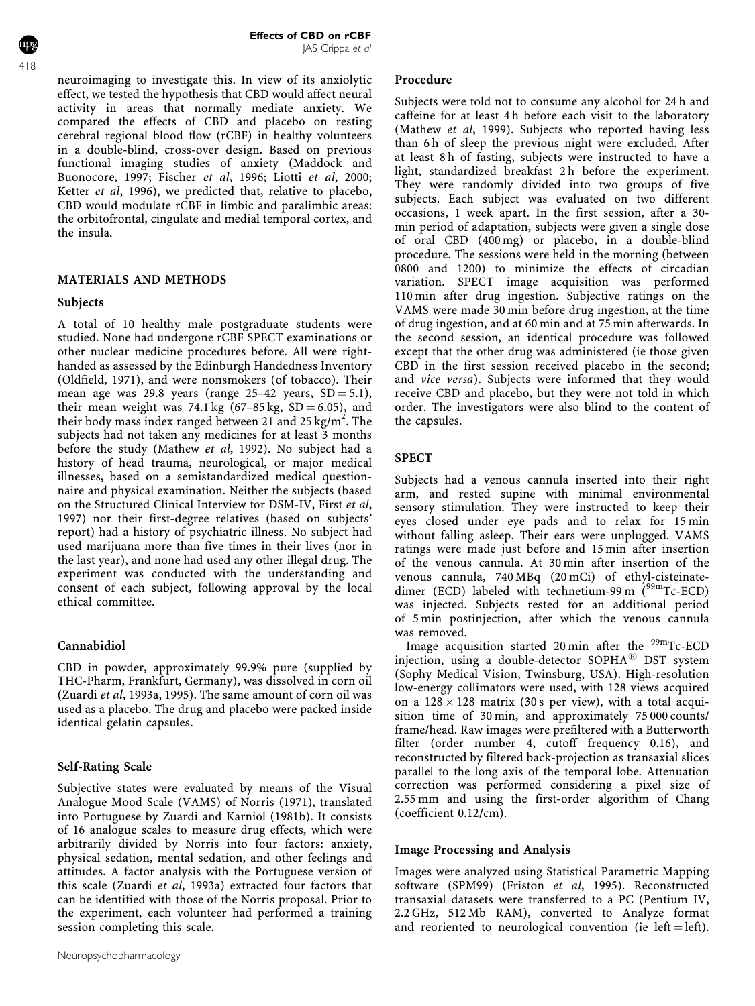neuroimaging to investigate this. In view of its anxiolytic effect, we tested the hypothesis that CBD would affect neural activity in areas that normally mediate anxiety. We compared the effects of CBD and placebo on resting cerebral regional blood flow (rCBF) in healthy volunteers in a double-blind, cross-over design. Based on previous functional imaging studies of anxiety (Maddock and Buonocore, 1997; Fischer et al, 1996; Liotti et al, 2000; Ketter et al, 1996), we predicted that, relative to placebo, CBD would modulate rCBF in limbic and paralimbic areas: the orbitofrontal, cingulate and medial temporal cortex, and the insula.

## MATERIALS AND METHODS

#### Subjects

A total of 10 healthy male postgraduate students were studied. None had undergone rCBF SPECT examinations or other nuclear medicine procedures before. All were righthanded as assessed by the Edinburgh Handedness Inventory (Oldfield, 1971), and were nonsmokers (of tobacco). Their mean age was 29.8 years (range  $25-42$  years,  $SD = 5.1$ ), their mean weight was 74.1 kg  $(67-85 \text{ kg}, \text{ SD} = 6.05)$ , and their body mass index ranged between 21 and 25 kg/m<sup>2</sup>. The subjects had not taken any medicines for at least 3 months before the study (Mathew et al, 1992). No subject had a history of head trauma, neurological, or major medical illnesses, based on a semistandardized medical questionnaire and physical examination. Neither the subjects (based on the Structured Clinical Interview for DSM-IV, First et al, 1997) nor their first-degree relatives (based on subjects' report) had a history of psychiatric illness. No subject had used marijuana more than five times in their lives (nor in the last year), and none had used any other illegal drug. The experiment was conducted with the understanding and consent of each subject, following approval by the local ethical committee.

## Cannabidiol

CBD in powder, approximately 99.9% pure (supplied by THC-Pharm, Frankfurt, Germany), was dissolved in corn oil (Zuardi et al, 1993a, 1995). The same amount of corn oil was used as a placebo. The drug and placebo were packed inside identical gelatin capsules.

## Self-Rating Scale

Subjective states were evaluated by means of the Visual Analogue Mood Scale (VAMS) of Norris (1971), translated into Portuguese by Zuardi and Karniol (1981b). It consists of 16 analogue scales to measure drug effects, which were arbitrarily divided by Norris into four factors: anxiety, physical sedation, mental sedation, and other feelings and attitudes. A factor analysis with the Portuguese version of this scale (Zuardi et al, 1993a) extracted four factors that can be identified with those of the Norris proposal. Prior to the experiment, each volunteer had performed a training session completing this scale.

## Procedure

Subjects were told not to consume any alcohol for 24 h and caffeine for at least 4 h before each visit to the laboratory (Mathew et al, 1999). Subjects who reported having less than 6 h of sleep the previous night were excluded. After at least 8 h of fasting, subjects were instructed to have a light, standardized breakfast 2 h before the experiment. They were randomly divided into two groups of five subjects. Each subject was evaluated on two different occasions, 1 week apart. In the first session, after a 30 min period of adaptation, subjects were given a single dose of oral CBD (400 mg) or placebo, in a double-blind procedure. The sessions were held in the morning (between 0800 and 1200) to minimize the effects of circadian variation. SPECT image acquisition was performed 110 min after drug ingestion. Subjective ratings on the VAMS were made 30 min before drug ingestion, at the time of drug ingestion, and at 60 min and at 75 min afterwards. In the second session, an identical procedure was followed except that the other drug was administered (ie those given CBD in the first session received placebo in the second; and vice versa). Subjects were informed that they would receive CBD and placebo, but they were not told in which order. The investigators were also blind to the content of the capsules.

## SPECT

Subjects had a venous cannula inserted into their right arm, and rested supine with minimal environmental sensory stimulation. They were instructed to keep their eyes closed under eye pads and to relax for 15 min without falling asleep. Their ears were unplugged. VAMS ratings were made just before and 15 min after insertion of the venous cannula. At 30 min after insertion of the venous cannula, 740 MBq (20 mCi) of ethyl-cisteinatedimer (ECD) labeled with technetium-99 m  $(^{99}$ mTc-ECD) was injected. Subjects rested for an additional period of 5 min postinjection, after which the venous cannula was removed.

Image acquisition started 20 min after the  $99mTc-ECD$ injection, using a double-detector  $SOPHA^{(B)}$  DST system (Sophy Medical Vision, Twinsburg, USA). High-resolution low-energy collimators were used, with 128 views acquired on a  $128 \times 128$  matrix (30s per view), with a total acquisition time of 30 min, and approximately 75 000 counts/ frame/head. Raw images were prefiltered with a Butterworth filter (order number 4, cutoff frequency 0.16), and reconstructed by filtered back-projection as transaxial slices parallel to the long axis of the temporal lobe. Attenuation correction was performed considering a pixel size of 2.55 mm and using the first-order algorithm of Chang (coefficient 0.12/cm).

## Image Processing and Analysis

Images were analyzed using Statistical Parametric Mapping software (SPM99) (Friston et al, 1995). Reconstructed transaxial datasets were transferred to a PC (Pentium IV, 2.2 GHz, 512 Mb RAM), converted to Analyze format and reoriented to neurological convention (ie left = left).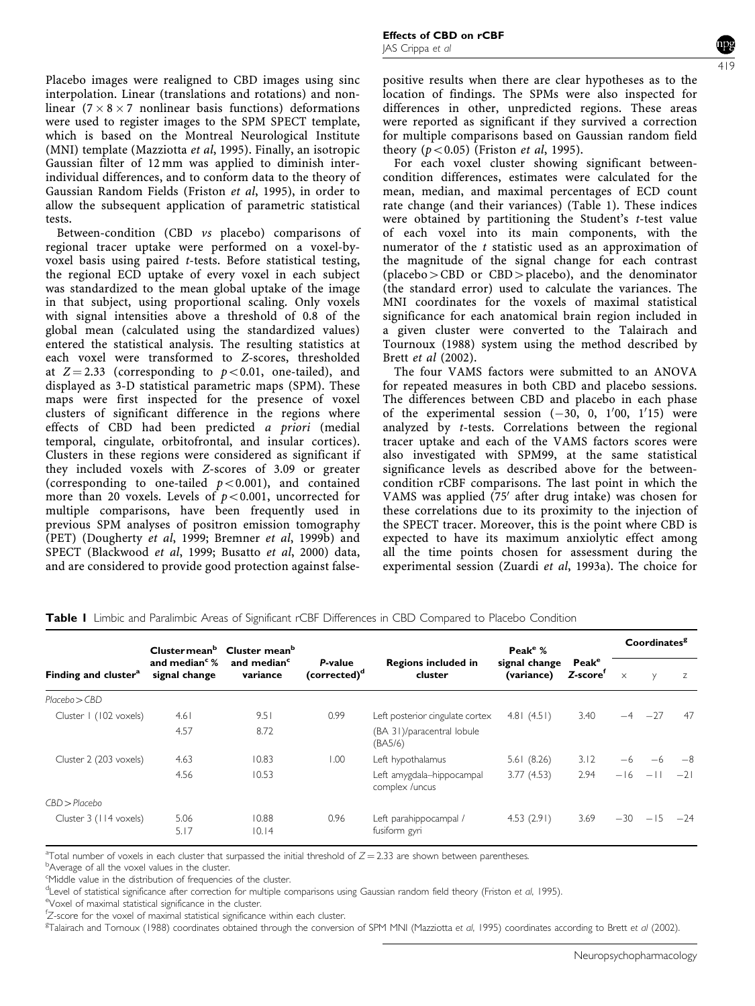Placebo images were realigned to CBD images using sinc interpolation. Linear (translations and rotations) and nonlinear ( $7 \times 8 \times 7$  nonlinear basis functions) deformations were used to register images to the SPM SPECT template, which is based on the Montreal Neurological Institute (MNI) template (Mazziotta et al, 1995). Finally, an isotropic Gaussian filter of 12 mm was applied to diminish interindividual differences, and to conform data to the theory of Gaussian Random Fields (Friston et al, 1995), in order to allow the subsequent application of parametric statistical tests.

Between-condition (CBD vs placebo) comparisons of regional tracer uptake were performed on a voxel-byvoxel basis using paired t-tests. Before statistical testing, the regional ECD uptake of every voxel in each subject was standardized to the mean global uptake of the image in that subject, using proportional scaling. Only voxels with signal intensities above a threshold of 0.8 of the global mean (calculated using the standardized values) entered the statistical analysis. The resulting statistics at each voxel were transformed to Z-scores, thresholded at  $Z = 2.33$  (corresponding to  $p < 0.01$ , one-tailed), and displayed as 3-D statistical parametric maps (SPM). These maps were first inspected for the presence of voxel clusters of significant difference in the regions where effects of CBD had been predicted a priori (medial temporal, cingulate, orbitofrontal, and insular cortices). Clusters in these regions were considered as significant if they included voxels with Z-scores of 3.09 or greater (corresponding to one-tailed  $p < 0.001$ ), and contained more than 20 voxels. Levels of  $p < 0.001$ , uncorrected for multiple comparisons, have been frequently used in previous SPM analyses of positron emission tomography (PET) (Dougherty et al, 1999; Bremner et al, 1999b) and SPECT (Blackwood et al, 1999; Busatto et al, 2000) data, and are considered to provide good protection against false-

positive results when there are clear hypotheses as to the location of findings. The SPMs were also inspected for differences in other, unpredicted regions. These areas were reported as significant if they survived a correction for multiple comparisons based on Gaussian random field theory  $(p<0.05)$  (Friston *et al*, 1995).

For each voxel cluster showing significant betweencondition differences, estimates were calculated for the mean, median, and maximal percentages of ECD count rate change (and their variances) (Table 1). These indices were obtained by partitioning the Student's t-test value of each voxel into its main components, with the numerator of the t statistic used as an approximation of the magnitude of the signal change for each contrast  $(placebo > CBD$  or  $CBD > placebo)$ , and the denominator (the standard error) used to calculate the variances. The MNI coordinates for the voxels of maximal statistical significance for each anatomical brain region included in a given cluster were converted to the Talairach and Tournoux (1988) system using the method described by Brett et al (2002).

The four VAMS factors were submitted to an ANOVA for repeated measures in both CBD and placebo sessions. The differences between CBD and placebo in each phase of the experimental session  $(-30, 0, 1'00, 1'15)$  were analyzed by t-tests. Correlations between the regional tracer uptake and each of the VAMS factors scores were also investigated with SPM99, at the same statistical significance levels as described above for the betweencondition rCBF comparisons. The last point in which the VAMS was applied (75' after drug intake) was chosen for these correlations due to its proximity to the injection of the SPECT tracer. Moreover, this is the point where CBD is expected to have its maximum anxiolytic effect among all the time points chosen for assessment during the experimental session (Zuardi et al, 1993a). The choice for

| Finding and cluster <sup>a</sup> | and median $\degree$ %<br>signal change | Clustermean <sup>b</sup> Cluster mean <sup>b</sup><br>and median <sup>c</sup><br>variance | P-value<br>(corrected) <sup>d</sup> | <b>Regions included in</b><br>cluster        | Peak <sup>e <math>%</math></sup><br>signal change<br>(variance) | Peak <sup>e</sup><br>Z-score <sup>r</sup> | Coordinates <sup>g</sup> |             |       |
|----------------------------------|-----------------------------------------|-------------------------------------------------------------------------------------------|-------------------------------------|----------------------------------------------|-----------------------------------------------------------------|-------------------------------------------|--------------------------|-------------|-------|
|                                  |                                         |                                                                                           |                                     |                                              |                                                                 |                                           | $\times$                 | $\vee$      | Z     |
| Placebo > CBD                    |                                         |                                                                                           |                                     |                                              |                                                                 |                                           |                          |             |       |
| Cluster I (102 voxels)           | 4.61                                    | 9.51                                                                                      | 0.99                                | Left posterior cingulate cortex              | 4.81(4.51)                                                      | 3.40                                      |                          | $-4$ $-27$  | 47    |
|                                  | 4.57                                    | 8.72                                                                                      |                                     | (BA 31)/paracentral lobule<br>(BA5/6)        |                                                                 |                                           |                          |             |       |
| Cluster 2 (203 voxels)           | 4.63                                    | 10.83                                                                                     | 1.00                                | Left hypothalamus                            | 5.61(8.26)                                                      | 3.12                                      | $-6$                     |             |       |
|                                  | 4.56                                    | 10.53                                                                                     |                                     | Left amygdala-hippocampal<br>complex / uncus | 3.77(4.53)                                                      | 2.94                                      |                          | $-16$ $-11$ | $-21$ |
| CBD > Placebo                    |                                         |                                                                                           |                                     |                                              |                                                                 |                                           |                          |             |       |
| Cluster 3 (114 voxels)           | 5.06<br>5.17                            | 10.88<br>10.14                                                                            | 0.96                                | Left parahippocampal /<br>fusiform gyri      | 4.53(2.91)                                                      | 3.69                                      | $-30$                    | $-15$       | $-24$ |

Table I Limbic and Paralimbic Areas of Significant rCBF Differences in CBD Compared to Placebo Condition

<sup>a</sup> Total number of voxels in each cluster that surpassed the initial threshold of  $Z = 2.33$  are shown between parentheses.

<sup>b</sup>Average of all the voxel values in the cluster.

<sup>c</sup>Middle value in the distribution of frequencies of the cluster.

d Level of statistical significance after correction for multiple comparisons using Gaussian random field theory (Friston et al, 1995).<br>Novel of maximal statistical significance in the clustor

eVoxel of maximal statistical significance in the cluster.

f<br> *E*-score for the voxel of maximal statistical significance within each cluster.<br> **ELARED 2014** Temples (1988) coordinates obtained through the convenient

<sup>g</sup>Talairach and Tornoux (1988) coordinates obtained through the conversion of SPM MNI (Mazziotta et al, 1995) coordinates according to Brett et al (2002).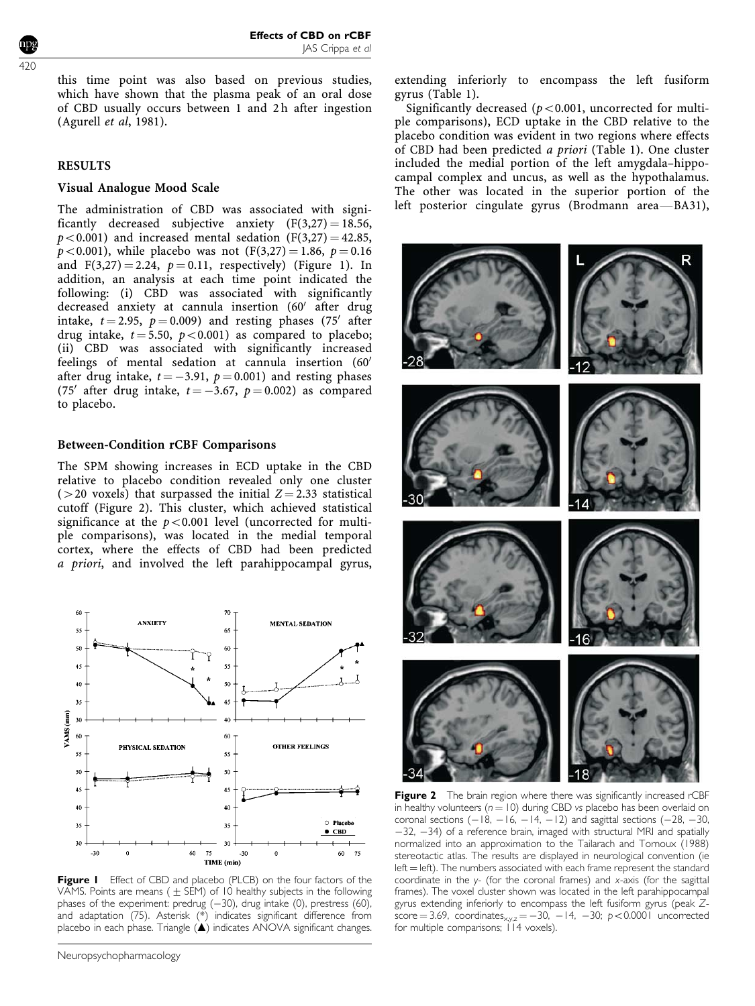this time point was also based on previous studies, which have shown that the plasma peak of an oral dose of CBD usually occurs between 1 and 2 h after ingestion (Agurell et al, 1981).

#### RESULTS

#### Visual Analogue Mood Scale

The administration of CBD was associated with significantly decreased subjective anxiety  $(F(3,27) = 18.56,$  $p<0.001$ ) and increased mental sedation (F(3,27) = 42.85,  $p < 0.001$ ), while placebo was not  $(F(3,27) = 1.86, p = 0.16)$ and  $F(3,27) = 2.24$ ,  $p = 0.11$ , respectively) (Figure 1). In addition, an analysis at each time point indicated the following: (i) CBD was associated with significantly decreased anxiety at cannula insertion (60' after drug intake,  $t = 2.95$ ,  $p = 0.009$ ) and resting phases (75<sup>'</sup> after drug intake,  $t = 5.50$ ,  $p < 0.001$ ) as compared to placebo; (ii) CBD was associated with significantly increased feelings of mental sedation at cannula insertion  $(60<sup>′</sup>$ after drug intake,  $t = -3.91$ ,  $p = 0.001$ ) and resting phases (75<sup>'</sup> after drug intake,  $t = -3.67$ ,  $p = 0.002$ ) as compared to placebo.

#### Between-Condition rCBF Comparisons

The SPM showing increases in ECD uptake in the CBD relative to placebo condition revealed only one cluster ( $>$ 20 voxels) that surpassed the initial  $Z = 2.33$  statistical cutoff (Figure 2). This cluster, which achieved statistical significance at the  $p < 0.001$  level (uncorrected for multiple comparisons), was located in the medial temporal cortex, where the effects of CBD had been predicted a priori, and involved the left parahippocampal gyrus,



Figure I Effect of CBD and placebo (PLCB) on the four factors of the VAMS. Points are means ( $\pm$  SEM) of 10 healthy subjects in the following phases of the experiment: predrug  $(-30)$ , drug intake (0), prestress (60), and adaptation (75). Asterisk (\*) indicates significant difference from placebo in each phase. Triangle (A) indicates ANOVA significant changes.

extending inferiorly to encompass the left fusiform gyrus (Table 1).

Significantly decreased ( $p < 0.001$ , uncorrected for multiple comparisons), ECD uptake in the CBD relative to the placebo condition was evident in two regions where effects of CBD had been predicted a priori (Table 1). One cluster included the medial portion of the left amygdala–hippocampal complex and uncus, as well as the hypothalamus. The other was located in the superior portion of the left posterior cingulate gyrus (Brodmann area-BA31),



Figure 2 The brain region where there was significantly increased rCBF in healthy volunteers ( $n = 10$ ) during CBD vs placebo has been overlaid on coronal sections  $(-18, -16, -14, -12)$  and sagittal sections  $(-28, -30,$  $-32$ ,  $-34$ ) of a reference brain, imaged with structural MRI and spatially normalized into an approximation to the Tailarach and Tornoux (1988) stereotactic atlas. The results are displayed in neurological convention (ie  $left = left$ ). The numbers associated with each frame represent the standard coordinate in the  $y$ - (for the coronal frames) and  $x$ -axis (for the sagittal frames). The voxel cluster shown was located in the left parahippocampal gyrus extending inferiorly to encompass the left fusiform gyrus (peak Zscore = 3.69, coordinates $x_{xyz} = -30$ , -14, -30; p < 0.0001 uncorrected for multiple comparisons; 114 voxels).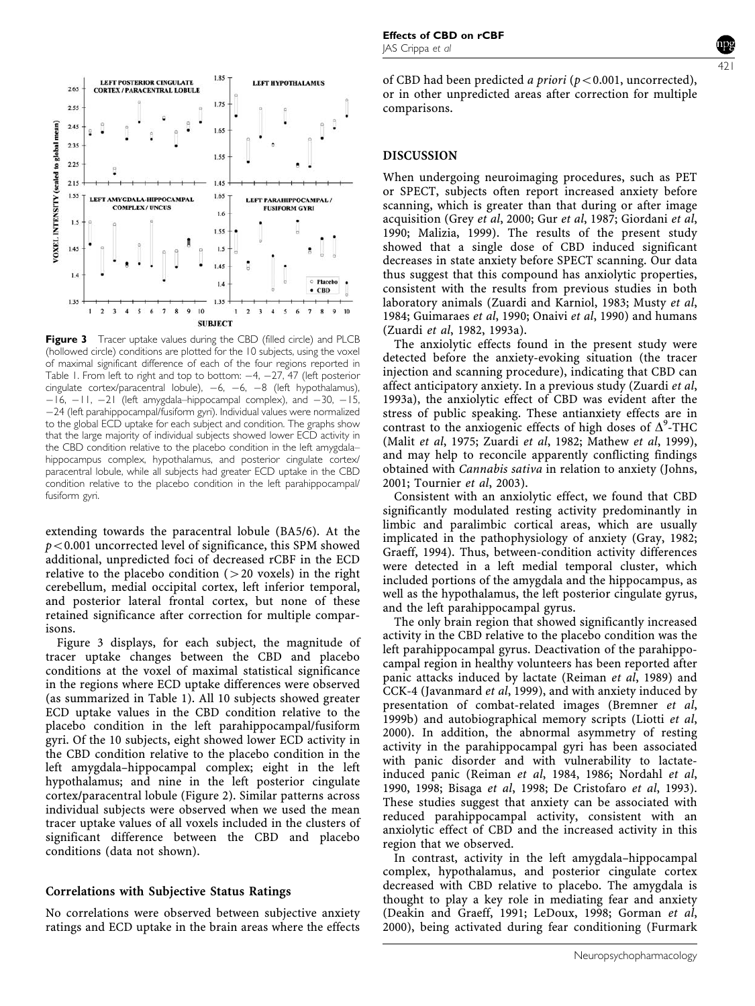

Figure 3 Tracer uptake values during the CBD (filled circle) and PLCB (hollowed circle) conditions are plotted for the 10 subjects, using the voxel of maximal significant difference of each of the four regions reported in Table 1. From left to right and top to bottom:  $-4$ ,  $-27$ ,  $47$  (left posterior cingulate cortex/paracentral lobule),  $-6$ ,  $-6$ ,  $-8$  (left hypothalamus),  $-16$ ,  $-11$ ,  $-21$  (left amygdala–hippocampal complex), and  $-30$ ,  $-15$ , 24 (left parahippocampal/fusiform gyri). Individual values were normalized to the global ECD uptake for each subject and condition. The graphs show that the large majority of individual subjects showed lower ECD activity in the CBD condition relative to the placebo condition in the left amygdala– hippocampus complex, hypothalamus, and posterior cingulate cortex/ paracentral lobule, while all subjects had greater ECD uptake in the CBD condition relative to the placebo condition in the left parahippocampal/ fusiform gyri.

extending towards the paracentral lobule (BA5/6). At the  $p < 0.001$  uncorrected level of significance, this SPM showed additional, unpredicted foci of decreased rCBF in the ECD relative to the placebo condition  $(>20 \text{ voxels})$  in the right cerebellum, medial occipital cortex, left inferior temporal, and posterior lateral frontal cortex, but none of these retained significance after correction for multiple comparisons.

Figure 3 displays, for each subject, the magnitude of tracer uptake changes between the CBD and placebo conditions at the voxel of maximal statistical significance in the regions where ECD uptake differences were observed (as summarized in Table 1). All 10 subjects showed greater ECD uptake values in the CBD condition relative to the placebo condition in the left parahippocampal/fusiform gyri. Of the 10 subjects, eight showed lower ECD activity in the CBD condition relative to the placebo condition in the left amygdala–hippocampal complex; eight in the left hypothalamus; and nine in the left posterior cingulate cortex/paracentral lobule (Figure 2). Similar patterns across individual subjects were observed when we used the mean tracer uptake values of all voxels included in the clusters of significant difference between the CBD and placebo conditions (data not shown).

## Correlations with Subjective Status Ratings

No correlations were observed between subjective anxiety ratings and ECD uptake in the brain areas where the effects 421

of CBD had been predicted a priori ( $p < 0.001$ , uncorrected), or in other unpredicted areas after correction for multiple comparisons.

## DISCUSSION

When undergoing neuroimaging procedures, such as PET or SPECT, subjects often report increased anxiety before scanning, which is greater than that during or after image acquisition (Grey et al, 2000; Gur et al, 1987; Giordani et al, 1990; Malizia, 1999). The results of the present study showed that a single dose of CBD induced significant decreases in state anxiety before SPECT scanning. Our data thus suggest that this compound has anxiolytic properties, consistent with the results from previous studies in both laboratory animals (Zuardi and Karniol, 1983; Musty et al, 1984; Guimaraes et al, 1990; Onaivi et al, 1990) and humans (Zuardi et al, 1982, 1993a).

The anxiolytic effects found in the present study were detected before the anxiety-evoking situation (the tracer injection and scanning procedure), indicating that CBD can affect anticipatory anxiety. In a previous study (Zuardi et al, 1993a), the anxiolytic effect of CBD was evident after the stress of public speaking. These antianxiety effects are in contrast to the anxiogenic effects of high doses of  $\Delta^9$ -THC (Malit et al, 1975; Zuardi et al, 1982; Mathew et al, 1999), and may help to reconcile apparently conflicting findings obtained with Cannabis sativa in relation to anxiety (Johns, 2001; Tournier et al, 2003).

Consistent with an anxiolytic effect, we found that CBD significantly modulated resting activity predominantly in limbic and paralimbic cortical areas, which are usually implicated in the pathophysiology of anxiety (Gray, 1982; Graeff, 1994). Thus, between-condition activity differences were detected in a left medial temporal cluster, which included portions of the amygdala and the hippocampus, as well as the hypothalamus, the left posterior cingulate gyrus, and the left parahippocampal gyrus.

The only brain region that showed significantly increased activity in the CBD relative to the placebo condition was the left parahippocampal gyrus. Deactivation of the parahippocampal region in healthy volunteers has been reported after panic attacks induced by lactate (Reiman et al, 1989) and CCK-4 (Javanmard et al, 1999), and with anxiety induced by presentation of combat-related images (Bremner et al, 1999b) and autobiographical memory scripts (Liotti et al, 2000). In addition, the abnormal asymmetry of resting activity in the parahippocampal gyri has been associated with panic disorder and with vulnerability to lactateinduced panic (Reiman et al, 1984, 1986; Nordahl et al, 1990, 1998; Bisaga et al, 1998; De Cristofaro et al, 1993). These studies suggest that anxiety can be associated with reduced parahippocampal activity, consistent with an anxiolytic effect of CBD and the increased activity in this region that we observed.

In contrast, activity in the left amygdala–hippocampal complex, hypothalamus, and posterior cingulate cortex decreased with CBD relative to placebo. The amygdala is thought to play a key role in mediating fear and anxiety (Deakin and Graeff, 1991; LeDoux, 1998; Gorman et al, 2000), being activated during fear conditioning (Furmark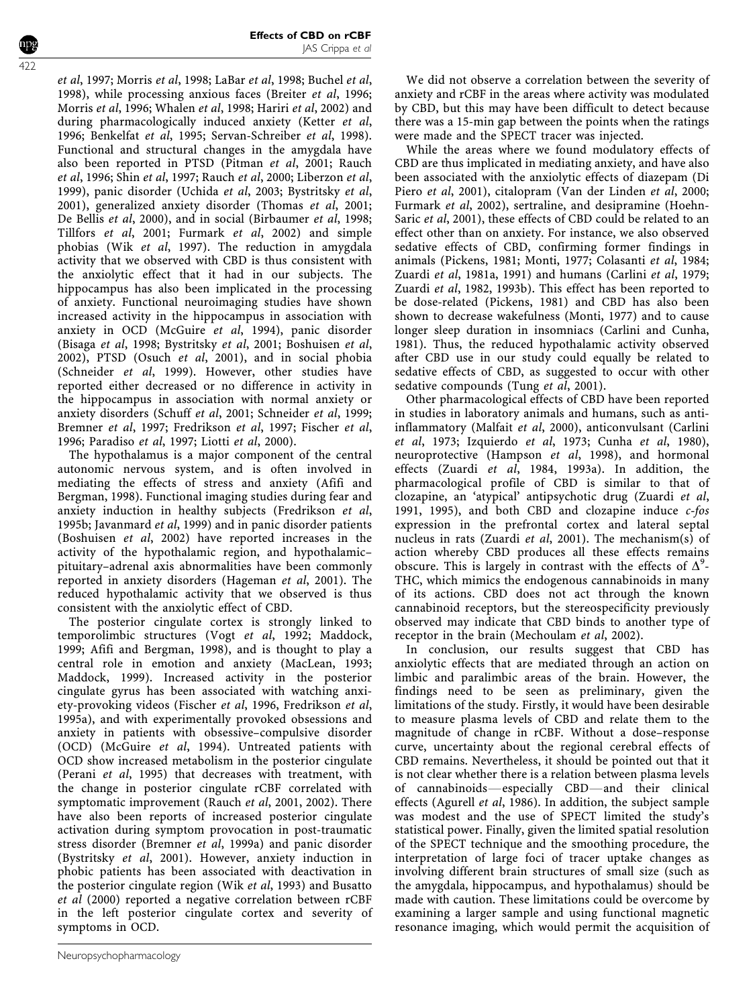et al, 1997; Morris et al, 1998; LaBar et al, 1998; Buchel et al, 1998), while processing anxious faces (Breiter et al, 1996; Morris et al, 1996; Whalen et al, 1998; Hariri et al, 2002) and during pharmacologically induced anxiety (Ketter et al, 1996; Benkelfat et al, 1995; Servan-Schreiber et al, 1998). Functional and structural changes in the amygdala have also been reported in PTSD (Pitman et al, 2001; Rauch et al, 1996; Shin et al, 1997; Rauch et al, 2000; Liberzon et al, 1999), panic disorder (Uchida et al, 2003; Bystritsky et al, 2001), generalized anxiety disorder (Thomas et al, 2001; De Bellis et al, 2000), and in social (Birbaumer et al, 1998; Tillfors et al, 2001; Furmark et al, 2002) and simple phobias (Wik et al, 1997). The reduction in amygdala activity that we observed with CBD is thus consistent with the anxiolytic effect that it had in our subjects. The hippocampus has also been implicated in the processing of anxiety. Functional neuroimaging studies have shown increased activity in the hippocampus in association with anxiety in OCD (McGuire et al, 1994), panic disorder (Bisaga et al, 1998; Bystritsky et al, 2001; Boshuisen et al, 2002), PTSD (Osuch et al, 2001), and in social phobia (Schneider et al, 1999). However, other studies have reported either decreased or no difference in activity in the hippocampus in association with normal anxiety or anxiety disorders (Schuff et al, 2001; Schneider et al, 1999; Bremner et al, 1997; Fredrikson et al, 1997; Fischer et al, 1996; Paradiso et al, 1997; Liotti et al, 2000).

The hypothalamus is a major component of the central autonomic nervous system, and is often involved in mediating the effects of stress and anxiety (Afifi and Bergman, 1998). Functional imaging studies during fear and anxiety induction in healthy subjects (Fredrikson et al, 1995b; Javanmard *et al*, 1999) and in panic disorder patients (Boshuisen et al, 2002) have reported increases in the activity of the hypothalamic region, and hypothalamic– pituitary–adrenal axis abnormalities have been commonly reported in anxiety disorders (Hageman et al, 2001). The reduced hypothalamic activity that we observed is thus consistent with the anxiolytic effect of CBD.

The posterior cingulate cortex is strongly linked to temporolimbic structures (Vogt et al, 1992; Maddock, 1999; Afifi and Bergman, 1998), and is thought to play a central role in emotion and anxiety (MacLean, 1993; Maddock, 1999). Increased activity in the posterior cingulate gyrus has been associated with watching anxiety-provoking videos (Fischer et al, 1996, Fredrikson et al, 1995a), and with experimentally provoked obsessions and anxiety in patients with obsessive–compulsive disorder (OCD) (McGuire et al, 1994). Untreated patients with OCD show increased metabolism in the posterior cingulate (Perani et al, 1995) that decreases with treatment, with the change in posterior cingulate rCBF correlated with symptomatic improvement (Rauch et al, 2001, 2002). There have also been reports of increased posterior cingulate activation during symptom provocation in post-traumatic stress disorder (Bremner et al, 1999a) and panic disorder (Bystritsky et al, 2001). However, anxiety induction in phobic patients has been associated with deactivation in the posterior cingulate region (Wik et al, 1993) and Busatto et al (2000) reported a negative correlation between rCBF in the left posterior cingulate cortex and severity of symptoms in OCD.

We did not observe a correlation between the severity of anxiety and rCBF in the areas where activity was modulated by CBD, but this may have been difficult to detect because there was a 15-min gap between the points when the ratings were made and the SPECT tracer was injected.

While the areas where we found modulatory effects of CBD are thus implicated in mediating anxiety, and have also been associated with the anxiolytic effects of diazepam (Di Piero et al, 2001), citalopram (Van der Linden et al, 2000; Furmark et al, 2002), sertraline, and desipramine (Hoehn-Saric et al, 2001), these effects of CBD could be related to an effect other than on anxiety. For instance, we also observed sedative effects of CBD, confirming former findings in animals (Pickens, 1981; Monti, 1977; Colasanti et al, 1984; Zuardi et al, 1981a, 1991) and humans (Carlini et al, 1979; Zuardi et al, 1982, 1993b). This effect has been reported to be dose-related (Pickens, 1981) and CBD has also been shown to decrease wakefulness (Monti, 1977) and to cause longer sleep duration in insomniacs (Carlini and Cunha, 1981). Thus, the reduced hypothalamic activity observed after CBD use in our study could equally be related to sedative effects of CBD, as suggested to occur with other sedative compounds (Tung et al, 2001).

Other pharmacological effects of CBD have been reported in studies in laboratory animals and humans, such as antiinflammatory (Malfait et al, 2000), anticonvulsant (Carlini et al, 1973; Izquierdo et al, 1973; Cunha et al, 1980), neuroprotective (Hampson et al, 1998), and hormonal effects (Zuardi et al, 1984, 1993a). In addition, the pharmacological profile of CBD is similar to that of clozapine, an 'atypical' antipsychotic drug (Zuardi et al, 1991, 1995), and both CBD and clozapine induce c-fos expression in the prefrontal cortex and lateral septal nucleus in rats (Zuardi et al, 2001). The mechanism(s) of action whereby CBD produces all these effects remains obscure. This is largely in contrast with the effects of  $\Delta^9$ -THC, which mimics the endogenous cannabinoids in many of its actions. CBD does not act through the known cannabinoid receptors, but the stereospecificity previously observed may indicate that CBD binds to another type of receptor in the brain (Mechoulam *et al*, 2002).

In conclusion, our results suggest that CBD has anxiolytic effects that are mediated through an action on limbic and paralimbic areas of the brain. However, the findings need to be seen as preliminary, given the limitations of the study. Firstly, it would have been desirable to measure plasma levels of CBD and relate them to the magnitude of change in rCBF. Without a dose–response curve, uncertainty about the regional cerebral effects of CBD remains. Nevertheless, it should be pointed out that it is not clear whether there is a relation between plasma levels of cannabinoids—especially CBD—and their clinical effects (Agurell et al, 1986). In addition, the subject sample was modest and the use of SPECT limited the study's statistical power. Finally, given the limited spatial resolution of the SPECT technique and the smoothing procedure, the interpretation of large foci of tracer uptake changes as involving different brain structures of small size (such as the amygdala, hippocampus, and hypothalamus) should be made with caution. These limitations could be overcome by examining a larger sample and using functional magnetic resonance imaging, which would permit the acquisition of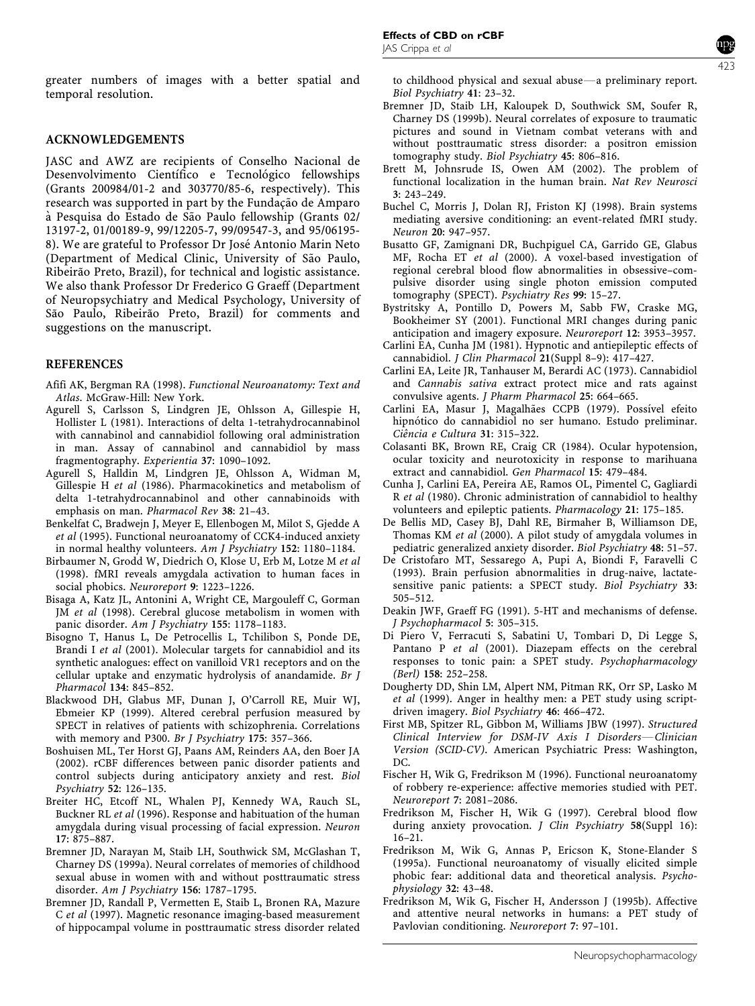greater numbers of images with a better spatial and temporal resolution.

## ACKNOWLEDGEMENTS

JASC and AWZ are recipients of Conselho Nacional de Desenvolvimento Científico e Tecnológico fellowships (Grants 200984/01-2 and 303770/85-6, respectively). This research was supported in part by the Fundação de Amparo à Pesquisa do Estado de São Paulo fellowship (Grants 02/ 13197-2, 01/00189-9, 99/12205-7, 99/09547-3, and 95/06195- 8). We are grateful to Professor Dr José Antonio Marin Neto (Department of Medical Clinic, University of São Paulo, Ribeirão Preto, Brazil), for technical and logistic assistance. We also thank Professor Dr Frederico G Graeff (Department of Neuropsychiatry and Medical Psychology, University of São Paulo, Ribeirão Preto, Brazil) for comments and suggestions on the manuscript.

#### REFERENCES

- Afifi AK, Bergman RA (1998). Functional Neuroanatomy: Text and Atlas. McGraw-Hill: New York.
- Agurell S, Carlsson S, Lindgren JE, Ohlsson A, Gillespie H, Hollister L (1981). Interactions of delta 1-tetrahydrocannabinol with cannabinol and cannabidiol following oral administration in man. Assay of cannabinol and cannabidiol by mass fragmentography. Experientia 37: 1090–1092.
- Agurell S, Halldin M, Lindgren JE, Ohlsson A, Widman M, Gillespie H et al (1986). Pharmacokinetics and metabolism of delta 1-tetrahydrocannabinol and other cannabinoids with emphasis on man. Pharmacol Rev 38: 21–43.
- Benkelfat C, Bradwejn J, Meyer E, Ellenbogen M, Milot S, Gjedde A et al (1995). Functional neuroanatomy of CCK4-induced anxiety in normal healthy volunteers. Am J Psychiatry 152: 1180–1184.
- Birbaumer N, Grodd W, Diedrich O, Klose U, Erb M, Lotze M et al (1998). fMRI reveals amygdala activation to human faces in social phobics. Neuroreport 9: 1223–1226.
- Bisaga A, Katz JL, Antonini A, Wright CE, Margouleff C, Gorman JM et al (1998). Cerebral glucose metabolism in women with panic disorder. Am J Psychiatry 155: 1178–1183.
- Bisogno T, Hanus L, De Petrocellis L, Tchilibon S, Ponde DE, Brandi I et al (2001). Molecular targets for cannabidiol and its synthetic analogues: effect on vanilloid VR1 receptors and on the cellular uptake and enzymatic hydrolysis of anandamide. Br J Pharmacol 134: 845–852.
- Blackwood DH, Glabus MF, Dunan J, O'Carroll RE, Muir WJ, Ebmeier KP (1999). Altered cerebral perfusion measured by SPECT in relatives of patients with schizophrenia. Correlations with memory and P300. Br J Psychiatry 175: 357–366.
- Boshuisen ML, Ter Horst GJ, Paans AM, Reinders AA, den Boer JA (2002). rCBF differences between panic disorder patients and control subjects during anticipatory anxiety and rest. Biol Psychiatry 52: 126–135.
- Breiter HC, Etcoff NL, Whalen PJ, Kennedy WA, Rauch SL, Buckner RL et al (1996). Response and habituation of the human amygdala during visual processing of facial expression. Neuron 17: 875–887.
- Bremner JD, Narayan M, Staib LH, Southwick SM, McGlashan T, Charney DS (1999a). Neural correlates of memories of childhood sexual abuse in women with and without posttraumatic stress disorder. Am J Psychiatry 156: 1787–1795.
- Bremner JD, Randall P, Vermetten E, Staib L, Bronen RA, Mazure C et al (1997). Magnetic resonance imaging-based measurement of hippocampal volume in posttraumatic stress disorder related

to childhood physical and sexual abuse—a preliminary report. Biol Psychiatry 41: 23–32.

- Bremner JD, Staib LH, Kaloupek D, Southwick SM, Soufer R, Charney DS (1999b). Neural correlates of exposure to traumatic pictures and sound in Vietnam combat veterans with and without posttraumatic stress disorder: a positron emission tomography study. Biol Psychiatry 45: 806–816.
- Brett M, Johnsrude IS, Owen AM (2002). The problem of functional localization in the human brain. Nat Rev Neurosci 3: 243–249.
- Buchel C, Morris J, Dolan RJ, Friston KJ (1998). Brain systems mediating aversive conditioning: an event-related fMRI study. Neuron 20: 947–957.
- Busatto GF, Zamignani DR, Buchpiguel CA, Garrido GE, Glabus MF, Rocha ET et al (2000). A voxel-based investigation of regional cerebral blood flow abnormalities in obsessive–compulsive disorder using single photon emission computed tomography (SPECT). Psychiatry Res 99: 15-27.
- Bystritsky A, Pontillo D, Powers M, Sabb FW, Craske MG, Bookheimer SY (2001). Functional MRI changes during panic anticipation and imagery exposure. Neuroreport 12: 3953–3957.
- Carlini EA, Cunha JM (1981). Hypnotic and antiepileptic effects of cannabidiol. J Clin Pharmacol 21(Suppl 8–9): 417–427.
- Carlini EA, Leite JR, Tanhauser M, Berardi AC (1973). Cannabidiol and Cannabis sativa extract protect mice and rats against convulsive agents. J Pharm Pharmacol 25: 664–665.
- Carlini EA, Masur J, Magalhães CCPB (1979). Possível efeito hipnótico do cannabidiol no ser humano. Estudo preliminar. Ciência e Cultura 31: 315-322.
- Colasanti BK, Brown RE, Craig CR (1984). Ocular hypotension, ocular toxicity and neurotoxicity in response to marihuana extract and cannabidiol. Gen Pharmacol 15: 479–484.
- Cunha J, Carlini EA, Pereira AE, Ramos OL, Pimentel C, Gagliardi R et al (1980). Chronic administration of cannabidiol to healthy volunteers and epileptic patients. Pharmacology 21: 175–185.
- De Bellis MD, Casey BJ, Dahl RE, Birmaher B, Williamson DE, Thomas KM et al (2000). A pilot study of amygdala volumes in pediatric generalized anxiety disorder. Biol Psychiatry 48: 51–57.
- De Cristofaro MT, Sessarego A, Pupi A, Biondi F, Faravelli C (1993). Brain perfusion abnormalities in drug-naive, lactatesensitive panic patients: a SPECT study. Biol Psychiatry 33: 505–512.
- Deakin JWF, Graeff FG (1991). 5-HT and mechanisms of defense. J Psychopharmacol 5: 305–315.
- Di Piero V, Ferracuti S, Sabatini U, Tombari D, Di Legge S, Pantano P et al (2001). Diazepam effects on the cerebral responses to tonic pain: a SPET study. Psychopharmacology (Berl) 158: 252–258.
- Dougherty DD, Shin LM, Alpert NM, Pitman RK, Orr SP, Lasko M et al (1999). Anger in healthy men: a PET study using scriptdriven imagery. Biol Psychiatry 46: 466–472.
- First MB, Spitzer RL, Gibbon M, Williams JBW (1997). Structured  $Clinical$  Interview for DSM-IV Axis I Disorders-Clinician Version (SCID-CV). American Psychiatric Press: Washington, DC.
- Fischer H, Wik G, Fredrikson M (1996). Functional neuroanatomy of robbery re-experience: affective memories studied with PET. Neuroreport 7: 2081–2086.
- Fredrikson M, Fischer H, Wik G (1997). Cerebral blood flow during anxiety provocation. J Clin Psychiatry 58(Suppl 16): 16–21.
- Fredrikson M, Wik G, Annas P, Ericson K, Stone-Elander S (1995a). Functional neuroanatomy of visually elicited simple phobic fear: additional data and theoretical analysis. Psychophysiology 32: 43–48.
- Fredrikson M, Wik G, Fischer H, Andersson J (1995b). Affective and attentive neural networks in humans: a PET study of Pavlovian conditioning. Neuroreport 7: 97–101.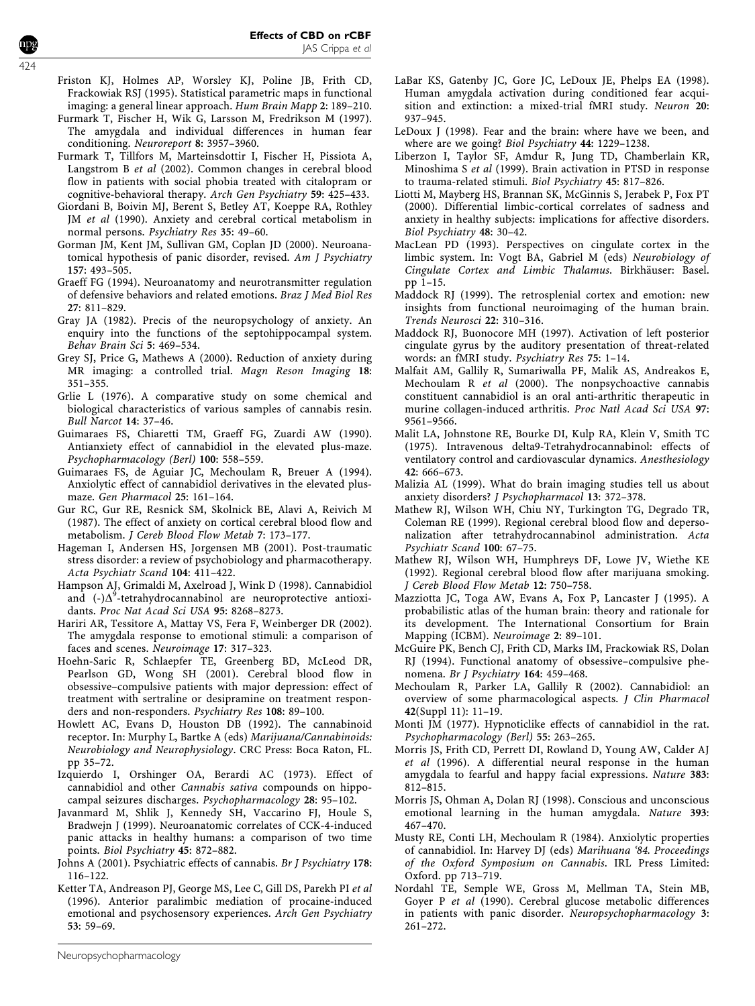- Friston KJ, Holmes AP, Worsley KJ, Poline JB, Frith CD, Frackowiak RSJ (1995). Statistical parametric maps in functional imaging: a general linear approach. Hum Brain Mapp 2: 189–210.
- Furmark T, Fischer H, Wik G, Larsson M, Fredrikson M (1997). The amygdala and individual differences in human fear conditioning. Neuroreport 8: 3957–3960.
- Furmark T, Tillfors M, Marteinsdottir I, Fischer H, Pissiota A, Langstrom B et al (2002). Common changes in cerebral blood flow in patients with social phobia treated with citalopram or cognitive-behavioral therapy. Arch Gen Psychiatry 59: 425–433.
- Giordani B, Boivin MJ, Berent S, Betley AT, Koeppe RA, Rothley JM et al (1990). Anxiety and cerebral cortical metabolism in normal persons. Psychiatry Res 35: 49–60.
- Gorman JM, Kent JM, Sullivan GM, Coplan JD (2000). Neuroanatomical hypothesis of panic disorder, revised. Am J Psychiatry 157: 493–505.
- Graeff FG (1994). Neuroanatomy and neurotransmitter regulation of defensive behaviors and related emotions. Braz J Med Biol Res 27: 811–829.
- Gray JA (1982). Precis of the neuropsychology of anxiety. An enquiry into the functions of the septohippocampal system. Behav Brain Sci 5: 469–534.
- Grey SJ, Price G, Mathews A (2000). Reduction of anxiety during MR imaging: a controlled trial. Magn Reson Imaging 18: 351–355.
- Grlie L (1976). A comparative study on some chemical and biological characteristics of various samples of cannabis resin. Bull Narcot 14: 37–46.
- Guimaraes FS, Chiaretti TM, Graeff FG, Zuardi AW (1990). Antianxiety effect of cannabidiol in the elevated plus-maze. Psychopharmacology (Berl) 100: 558–559.
- Guimaraes FS, de Aguiar JC, Mechoulam R, Breuer A (1994). Anxiolytic effect of cannabidiol derivatives in the elevated plusmaze. Gen Pharmacol 25: 161–164.
- Gur RC, Gur RE, Resnick SM, Skolnick BE, Alavi A, Reivich M (1987). The effect of anxiety on cortical cerebral blood flow and metabolism. J Cereb Blood Flow Metab 7: 173–177.
- Hageman I, Andersen HS, Jorgensen MB (2001). Post-traumatic stress disorder: a review of psychobiology and pharmacotherapy. Acta Psychiatr Scand 104: 411–422.
- Hampson AJ, Grimaldi M, Axelroad J, Wink D (1998). Cannabidiol and  $(-)\Delta^9$ -tetrahydrocannabinol are neuroprotective antioxidants. Proc Nat Acad Sci USA 95: 8268–8273.
- Hariri AR, Tessitore A, Mattay VS, Fera F, Weinberger DR (2002). The amygdala response to emotional stimuli: a comparison of faces and scenes. Neuroimage 17: 317–323.
- Hoehn-Saric R, Schlaepfer TE, Greenberg BD, McLeod DR, Pearlson GD, Wong SH (2001). Cerebral blood flow in obsessive–compulsive patients with major depression: effect of treatment with sertraline or desipramine on treatment responders and non-responders. Psychiatry Res 108: 89–100.
- Howlett AC, Evans D, Houston DB (1992). The cannabinoid receptor. In: Murphy L, Bartke A (eds) Marijuana/Cannabinoids: Neurobiology and Neurophysiology. CRC Press: Boca Raton, FL. pp 35–72.
- Izquierdo I, Orshinger OA, Berardi AC (1973). Effect of cannabidiol and other Cannabis sativa compounds on hippocampal seizures discharges. Psychopharmacology 28: 95–102.
- Javanmard M, Shlik J, Kennedy SH, Vaccarino FJ, Houle S, Bradwejn J (1999). Neuroanatomic correlates of CCK-4-induced panic attacks in healthy humans: a comparison of two time points. Biol Psychiatry 45: 872–882.
- Johns A (2001). Psychiatric effects of cannabis. Br J Psychiatry 178: 116–122.
- Ketter TA, Andreason PJ, George MS, Lee C, Gill DS, Parekh PI et al (1996). Anterior paralimbic mediation of procaine-induced emotional and psychosensory experiences. Arch Gen Psychiatry 53: 59–69.
- LaBar KS, Gatenby JC, Gore JC, LeDoux JE, Phelps EA (1998). Human amygdala activation during conditioned fear acquisition and extinction: a mixed-trial fMRI study. Neuron 20: 937–945.
- LeDoux J (1998). Fear and the brain: where have we been, and where are we going? Biol Psychiatry 44: 1229–1238.
- Liberzon I, Taylor SF, Amdur R, Jung TD, Chamberlain KR, Minoshima S et al (1999). Brain activation in PTSD in response to trauma-related stimuli. Biol Psychiatry 45: 817–826.
- Liotti M, Mayberg HS, Brannan SK, McGinnis S, Jerabek P, Fox PT (2000). Differential limbic-cortical correlates of sadness and anxiety in healthy subjects: implications for affective disorders. Biol Psychiatry 48: 30–42.
- MacLean PD (1993). Perspectives on cingulate cortex in the limbic system. In: Vogt BA, Gabriel M (eds) Neurobiology of Cingulate Cortex and Limbic Thalamus. Birkhäuser: Basel. pp 1–15.
- Maddock RJ (1999). The retrosplenial cortex and emotion: new insights from functional neuroimaging of the human brain. Trends Neurosci 22: 310–316.
- Maddock RJ, Buonocore MH (1997). Activation of left posterior cingulate gyrus by the auditory presentation of threat-related words: an fMRI study. Psychiatry Res 75: 1–14.
- Malfait AM, Gallily R, Sumariwalla PF, Malik AS, Andreakos E, Mechoulam R et al (2000). The nonpsychoactive cannabis constituent cannabidiol is an oral anti-arthritic therapeutic in murine collagen-induced arthritis. Proc Natl Acad Sci USA 97: 9561–9566.
- Malit LA, Johnstone RE, Bourke DI, Kulp RA, Klein V, Smith TC (1975). Intravenous delta9-Tetrahydrocannabinol: effects of ventilatory control and cardiovascular dynamics. Anesthesiology 42: 666–673.
- Malizia AL (1999). What do brain imaging studies tell us about anxiety disorders? J Psychopharmacol 13: 372–378.
- Mathew RJ, Wilson WH, Chiu NY, Turkington TG, Degrado TR, Coleman RE (1999). Regional cerebral blood flow and depersonalization after tetrahydrocannabinol administration. Acta Psychiatr Scand 100: 67–75.
- Mathew RJ, Wilson WH, Humphreys DF, Lowe JV, Wiethe KE (1992). Regional cerebral blood flow after marijuana smoking. J Cereb Blood Flow Metab 12: 750–758.
- Mazziotta JC, Toga AW, Evans A, Fox P, Lancaster J (1995). A probabilistic atlas of the human brain: theory and rationale for its development. The International Consortium for Brain Mapping (ICBM). Neuroimage 2: 89–101.
- McGuire PK, Bench CJ, Frith CD, Marks IM, Frackowiak RS, Dolan RJ (1994). Functional anatomy of obsessive–compulsive phenomena. Br J Psychiatry 164: 459–468.
- Mechoulam R, Parker LA, Gallily R (2002). Cannabidiol: an overview of some pharmacological aspects. J Clin Pharmacol 42(Suppl 11): 11–19.
- Monti JM (1977). Hypnoticlike effects of cannabidiol in the rat. Psychopharmacology (Berl) 55: 263–265.
- Morris JS, Frith CD, Perrett DI, Rowland D, Young AW, Calder AJ et al (1996). A differential neural response in the human amygdala to fearful and happy facial expressions. Nature 383: 812–815.
- Morris JS, Ohman A, Dolan RJ (1998). Conscious and unconscious emotional learning in the human amygdala. Nature 393: 467–470.
- Musty RE, Conti LH, Mechoulam R (1984). Anxiolytic properties of cannabidiol. In: Harvey DJ (eds) Marihuana '84. Proceedings of the Oxford Symposium on Cannabis. IRL Press Limited: Oxford. pp 713–719.
- Nordahl TE, Semple WE, Gross M, Mellman TA, Stein MB, Goyer P et al (1990). Cerebral glucose metabolic differences in patients with panic disorder. Neuropsychopharmacology 3: 261–272.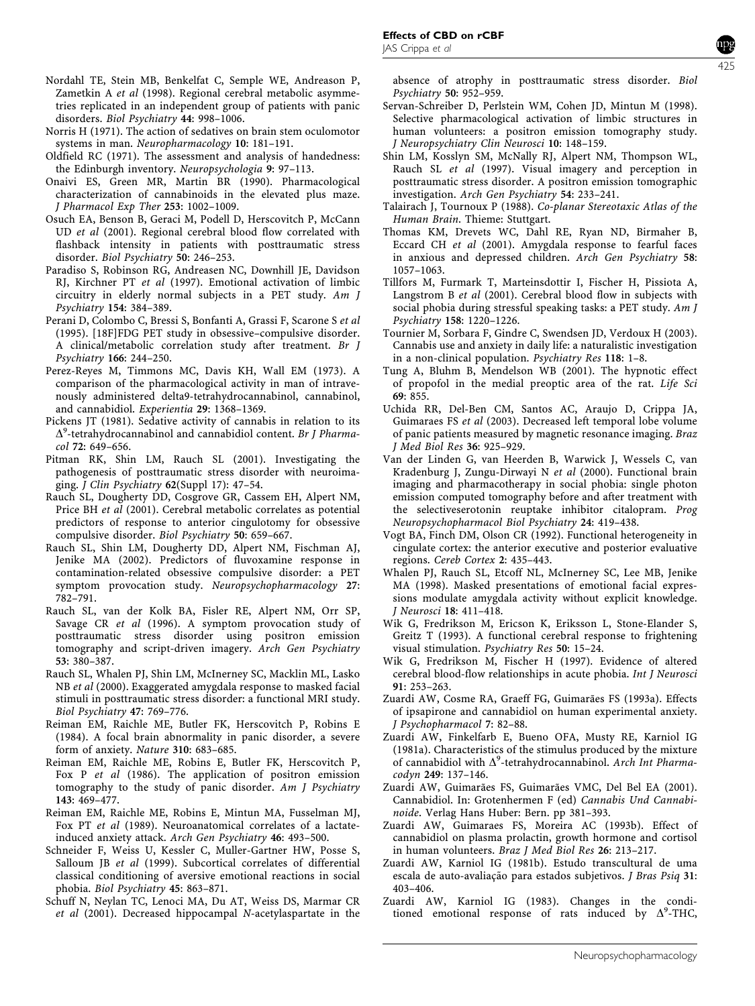Norris H (1971). The action of sedatives on brain stem oculomotor systems in man. Neuropharmacology 10: 181–191.

Oldfield RC (1971). The assessment and analysis of handedness: the Edinburgh inventory. Neuropsychologia 9: 97–113.

- Onaivi ES, Green MR, Martin BR (1990). Pharmacological characterization of cannabinoids in the elevated plus maze. J Pharmacol Exp Ther 253: 1002–1009.
- Osuch EA, Benson B, Geraci M, Podell D, Herscovitch P, McCann UD et al (2001). Regional cerebral blood flow correlated with flashback intensity in patients with posttraumatic stress disorder. Biol Psychiatry 50: 246–253.
- Paradiso S, Robinson RG, Andreasen NC, Downhill JE, Davidson RJ, Kirchner PT et al (1997). Emotional activation of limbic circuitry in elderly normal subjects in a PET study. Am J Psychiatry 154: 384–389.
- Perani D, Colombo C, Bressi S, Bonfanti A, Grassi F, Scarone S et al (1995). [18F]FDG PET study in obsessive–compulsive disorder. A clinical/metabolic correlation study after treatment. Br J Psychiatry 166: 244–250.
- Perez-Reyes M, Timmons MC, Davis KH, Wall EM (1973). A comparison of the pharmacological activity in man of intravenously administered delta9-tetrahydrocannabinol, cannabinol, and cannabidiol. Experientia 29: 1368–1369.
- Pickens JT (1981). Sedative activity of cannabis in relation to its  $\Delta^9$ -tetrahydrocannabinol and cannabidiol content. Br J Pharma $col 72: 649 - 656$
- Pitman RK, Shin LM, Rauch SL (2001). Investigating the pathogenesis of posttraumatic stress disorder with neuroimaging. J Clin Psychiatry 62(Suppl 17): 47–54.
- Rauch SL, Dougherty DD, Cosgrove GR, Cassem EH, Alpert NM, Price BH et al (2001). Cerebral metabolic correlates as potential predictors of response to anterior cingulotomy for obsessive compulsive disorder. Biol Psychiatry 50: 659–667.
- Rauch SL, Shin LM, Dougherty DD, Alpert NM, Fischman AJ, Jenike MA (2002). Predictors of fluvoxamine response in contamination-related obsessive compulsive disorder: a PET symptom provocation study. Neuropsychopharmacology 27: 782–791.
- Rauch SL, van der Kolk BA, Fisler RE, Alpert NM, Orr SP, Savage CR et al (1996). A symptom provocation study of posttraumatic stress disorder using positron emission tomography and script-driven imagery. Arch Gen Psychiatry 53: 380–387.
- Rauch SL, Whalen PJ, Shin LM, McInerney SC, Macklin ML, Lasko NB et al (2000). Exaggerated amygdala response to masked facial stimuli in posttraumatic stress disorder: a functional MRI study. Biol Psychiatry 47: 769–776.
- Reiman EM, Raichle ME, Butler FK, Herscovitch P, Robins E (1984). A focal brain abnormality in panic disorder, a severe form of anxiety. Nature 310: 683–685.
- Reiman EM, Raichle ME, Robins E, Butler FK, Herscovitch P, Fox P et al (1986). The application of positron emission tomography to the study of panic disorder. Am J Psychiatry 143: 469–477.
- Reiman EM, Raichle ME, Robins E, Mintun MA, Fusselman MJ, Fox PT et al (1989). Neuroanatomical correlates of a lactateinduced anxiety attack. Arch Gen Psychiatry 46: 493–500.
- Schneider F, Weiss U, Kessler C, Muller-Gartner HW, Posse S, Salloum JB et al (1999). Subcortical correlates of differential classical conditioning of aversive emotional reactions in social phobia. Biol Psychiatry 45: 863–871.
- Schuff N, Neylan TC, Lenoci MA, Du AT, Weiss DS, Marmar CR et al (2001). Decreased hippocampal N-acetylaspartate in the

absence of atrophy in posttraumatic stress disorder. Biol Psychiatry 50: 952–959.

- Servan-Schreiber D, Perlstein WM, Cohen JD, Mintun M (1998). Selective pharmacological activation of limbic structures in human volunteers: a positron emission tomography study. J Neuropsychiatry Clin Neurosci 10: 148–159.
- Shin LM, Kosslyn SM, McNally RJ, Alpert NM, Thompson WL, Rauch SL et al (1997). Visual imagery and perception in posttraumatic stress disorder. A positron emission tomographic investigation. Arch Gen Psychiatry 54: 233–241.
- Talairach J, Tournoux P (1988). Co-planar Stereotaxic Atlas of the Human Brain. Thieme: Stuttgart.
- Thomas KM, Drevets WC, Dahl RE, Ryan ND, Birmaher B, Eccard CH et al (2001). Amygdala response to fearful faces in anxious and depressed children. Arch Gen Psychiatry 58: 1057–1063.
- Tillfors M, Furmark T, Marteinsdottir I, Fischer H, Pissiota A, Langstrom B et al (2001). Cerebral blood flow in subjects with social phobia during stressful speaking tasks: a PET study. Am J Psychiatry 158: 1220–1226.
- Tournier M, Sorbara F, Gindre C, Swendsen JD, Verdoux H (2003). Cannabis use and anxiety in daily life: a naturalistic investigation in a non-clinical population. Psychiatry Res 118: 1–8.
- Tung A, Bluhm B, Mendelson WB (2001). The hypnotic effect of propofol in the medial preoptic area of the rat. Life Sci 69: 855.
- Uchida RR, Del-Ben CM, Santos AC, Araujo D, Crippa JA, Guimaraes FS et al (2003). Decreased left temporal lobe volume of panic patients measured by magnetic resonance imaging. Braz J Med Biol Res 36: 925–929.
- Van der Linden G, van Heerden B, Warwick J, Wessels C, van Kradenburg J, Zungu-Dirwayi N et al (2000). Functional brain imaging and pharmacotherapy in social phobia: single photon emission computed tomography before and after treatment with the selectiveserotonin reuptake inhibitor citalopram. Prog Neuropsychopharmacol Biol Psychiatry 24: 419–438.
- Vogt BA, Finch DM, Olson CR (1992). Functional heterogeneity in cingulate cortex: the anterior executive and posterior evaluative regions. Cereb Cortex 2: 435–443.
- Whalen PJ, Rauch SL, Etcoff NL, McInerney SC, Lee MB, Jenike MA (1998). Masked presentations of emotional facial expressions modulate amygdala activity without explicit knowledge. J Neurosci 18: 411–418.
- Wik G, Fredrikson M, Ericson K, Eriksson L, Stone-Elander S, Greitz T (1993). A functional cerebral response to frightening visual stimulation. Psychiatry Res 50: 15–24.
- Wik G, Fredrikson M, Fischer H (1997). Evidence of altered cerebral blood-flow relationships in acute phobia. Int J Neurosci 91: 253–263.
- Zuardi AW, Cosme RA, Graeff FG, Guimarães FS (1993a). Effects of ipsapirone and cannabidiol on human experimental anxiety. J Psychopharmacol 7: 82–88.
- Zuardi AW, Finkelfarb E, Bueno OFA, Musty RE, Karniol IG (1981a). Characteristics of the stimulus produced by the mixture of cannabidiol with  $\Delta^9$ -tetrahydrocannabinol. Arch Int Pharmacodyn 249: 137–146.
- Zuardi AW, Guimarães FS, Guimarães VMC, Del Bel EA (2001). Cannabidiol. In: Grotenhermen F (ed) Cannabis Und Cannabinoide. Verlag Hans Huber: Bern. pp 381–393.
- Zuardi AW, Guimaraes FS, Moreira AC (1993b). Effect of cannabidiol on plasma prolactin, growth hormone and cortisol in human volunteers. Braz J Med Biol Res 26: 213–217.
- Zuardi AW, Karniol IG (1981b). Estudo transcultural de uma escala de auto-avaliação para estados subjetivos. J Bras Psiq 31: 403–406.
- Zuardi AW, Karniol IG (1983). Changes in the conditioned emotional response of rats induced by  $\Delta^9$ -THC,